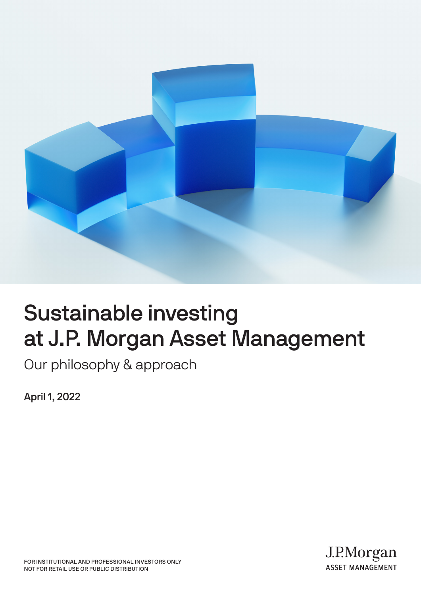

# Sustainable investing at J.P. Morgan Asset Management

Our philosophy & approach

April 1, 2022

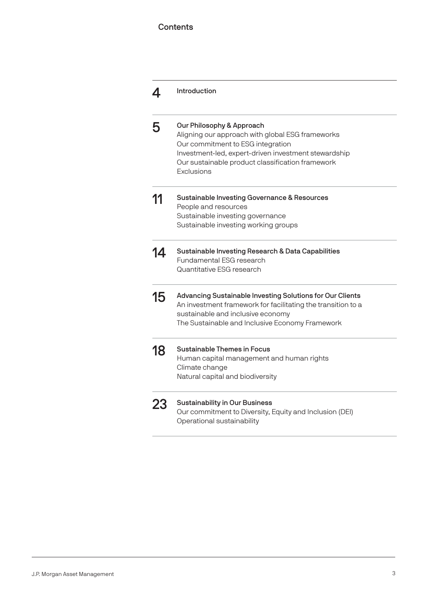### **Contents**

|    | Introduction                                                                                                                                                                                                                                 |
|----|----------------------------------------------------------------------------------------------------------------------------------------------------------------------------------------------------------------------------------------------|
| 5  | Our Philosophy & Approach<br>Aligning our approach with global ESG frameworks<br>Our commitment to ESG integration<br>Investment-led, expert-driven investment stewardship<br>Our sustainable product classification framework<br>Exclusions |
| 11 | <b>Sustainable Investing Governance &amp; Resources</b><br>People and resources<br>Sustainable investing governance<br>Sustainable investing working groups                                                                                  |
| 14 | Sustainable Investing Research & Data Capabilities<br>Fundamental FSG research<br>Quantitative ESG research                                                                                                                                  |
| 15 | Advancing Sustainable Investing Solutions for Our Clients<br>An investment framework for facilitating the transition to a<br>sustainable and inclusive economy<br>The Sustainable and Inclusive Economy Framework                            |
| 18 | Sustainable Themes in Focus<br>Human capital management and human rights<br>Climate change<br>Natural capital and biodiversity                                                                                                               |
| 23 | <b>Sustainability in Our Business</b><br>Our commitment to Diversity, Equity and Inclusion (DEI)<br>Operational sustainability                                                                                                               |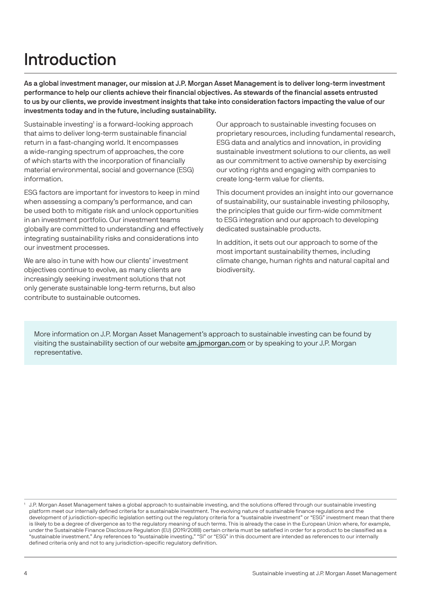# Introduction

As a global investment manager, our mission at J.P. Morgan Asset Management is to deliver long-term investment performance to help our clients achieve their financial objectives. As stewards of the financial assets entrusted to us by our clients, we provide investment insights that take into consideration factors impacting the value of our investments today and in the future, including sustainability.

Sustainable investing<sup>1</sup> is a forward-looking approach that aims to deliver long-term sustainable financial return in a fast-changing world. It encompasses a wide-ranging spectrum of approaches, the core of which starts with the incorporation of financially material environmental, social and governance (ESG) information.

ESG factors are important for investors to keep in mind when assessing a company's performance, and can be used both to mitigate risk and unlock opportunities in an investment portfolio. Our investment teams globally are committed to understanding and effectively integrating sustainability risks and considerations into our investment processes.

We are also in tune with how our clients' investment objectives continue to evolve, as many clients are increasingly seeking investment solutions that not only generate sustainable long-term returns, but also contribute to sustainable outcomes.

Our approach to sustainable investing focuses on proprietary resources, including fundamental research, ESG data and analytics and innovation, in providing sustainable investment solutions to our clients, as well as our commitment to active ownership by exercising our voting rights and engaging with companies to create long-term value for clients.

This document provides an insight into our governance of sustainability, our sustainable investing philosophy, the principles that guide our firm-wide commitment to ESG integration and our approach to developing dedicated sustainable products.

In addition, it sets out our approach to some of the most important sustainability themes, including climate change, human rights and natural capital and biodiversity.

More information on J.P. Morgan Asset Management's approach to sustainable investing can be found by visiting the sustainability section of our website am.jpmorgan.com or by speaking to your J.P. Morgan representative.

<sup>&</sup>lt;sup>1</sup> J.P. Morgan Asset Management takes a global approach to sustainable investing, and the solutions offered through our sustainable investing platform meet our internally defined criteria for a sustainable investment. The evolving nature of sustainable finance regulations and the development of jurisdiction-specific legislation setting out the regulatory criteria for a "sustainable investment" or "ESG" investment mean that there is likely to be a degree of divergence as to the regulatory meaning of such terms. This is already the case in the European Union where, for example, under the Sustainable Finance Disclosure Regulation (EU) (2019/2088) certain criteria must be satisfied in order for a product to be classified as a "sustainable investment." Any references to "sustainable investing," "SI" or "ESG" in this document are intended as references to our internally defined criteria only and not to any jurisdiction-specific regulatory definition.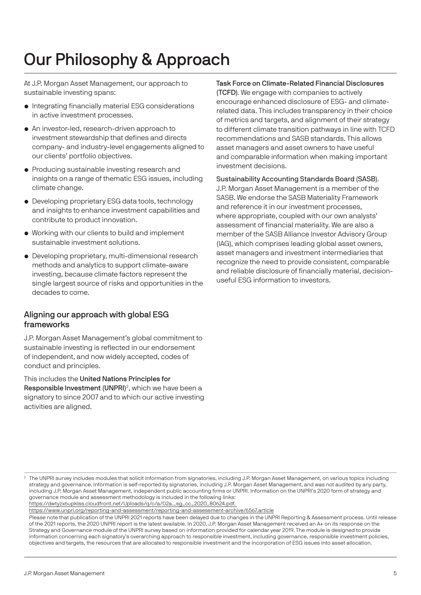# Our Philosophy & Approach

At J.P. Morgan Asset Management, our approach to sustainable investing spans:

- Integrating financially material ESG considerations in active investment processes.
- An investor-led, research-driven approach to investment stewardship that defines and directs company- and industry-level engagements aligned to our clients' portfolio objectives.
- Producing sustainable investing research and insights on a range of thematic ESG issues, including climate change.
- Developing proprietary ESG data tools, technology and insights to enhance investment capabilities and contribute to product innovation.
- Working with our clients to build and implement sustainable investment solutions.
- Developing proprietary, multi-dimensional research methods and analytics to support climate-aware investing, because climate factors represent the single largest source of risks and opportunities in the decades to come.

### Aligning our approach with global ESG frameworks

J.P. Morgan Asset Management's global commitment to sustainable investing is reflected in our endorsement of independent, and now widely accepted, codes of conduct and principles.

This includes the United Nations Principles for Responsible Investment (UNPRI)<sup>2</sup>, which we have been a signatory to since 2007 and to which our active investing activities are aligned.

### Task Force on Climate-Related Financial Disclosures

(TCFD). We engage with companies to actively encourage enhanced disclosure of ESG- and climaterelated data. This includes transparency in their choice of metrics and targets, and alignment of their strategy to different climate transition pathways in line with TCFD recommendations and SASB standards. This allows asset managers and asset owners to have useful and comparable information when making important investment decisions.

Sustainability Accounting Standards Board (SASB). J.P. Morgan Asset Management is a member of the SASB. We endorse the SASB Materiality Framework and reference it in our investment processes, where appropriate, coupled with our own analysts' assessment of financial materiality. We are also a member of the SASB Alliance Investor Advisory Group (IAG), which comprises leading global asset owners, asset managers and investment intermediaries that recognize the need to provide consistent, comparable and reliable disclosure of financially material, decisionuseful ESG information to investors.

https://dwtyzx6upklss.cloudfront.net/Uploads/q/c/a/02a.\_sg\_cc\_2020\_80624.pdf.

https://www.unpri.org/reporting-and-assessment/reporting-and-assessment-archive/6567.article

 Please note that publication of the UNPRI 2021 reports have been delayed due to changes in the UNPRI Reporting & Assessment process. Until release of the 2021 reports, the 2020 UNPRI report is the latest available. In 2020, J.P. Morgan Asset Management received an A+ on its response on the Strategy and Governance module of the UNPRI survey based on information provided for calendar year 2019. The module is designed to provide information concerning each signatory's overarching approach to responsible investment, including governance, responsible investment policies, objectives and targets, the resources that are allocated to responsible investment and the incorporation of ESG issues into asset allocation.

<sup>2</sup> The UNPRI survey includes modules that solicit information from signatories, including J.P. Morgan Asset Management, on various topics including strategy and governance. Information is self-reported by signatories, including J.P. Morgan Asset Management, and was not audited by any party, including J.P. Morgan Asset Management, independent public accounting firms or UNPRI. Information on the UNPRI's 2020 form of strategy and governance module and assessment methodology is included in the following links: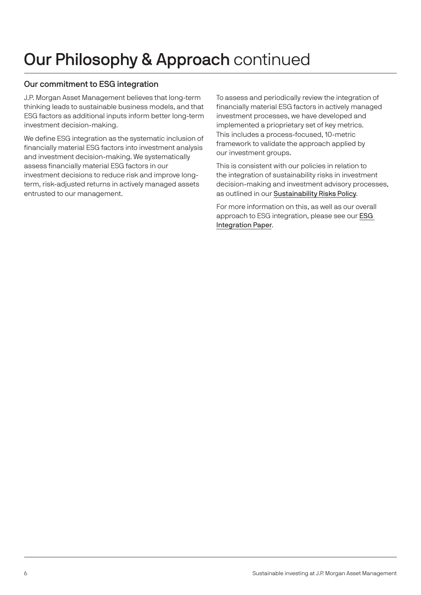### Our commitment to ESG integration

J.P. Morgan Asset Management believes that long-term thinking leads to sustainable business models, and that ESG factors as additional inputs inform better long-term investment decision-making.

We define ESG integration as the systematic inclusion of financially material ESG factors into investment analysis and investment decision-making. We systematically assess financially material ESG factors in our investment decisions to reduce risk and improve longterm, risk-adjusted returns in actively managed assets entrusted to our management.

To assess and periodically review the integration of financially material ESG factors in actively managed investment processes, we have developed and implemented a prioprietary set of key metrics. This includes a process-focused, 10-metric framework to validate the approach applied by our investment groups.

This is consistent with our policies in relation to the integration of sustainability risks in investment decision-making and investment advisory processes, as outlined in our [Sustainability Risks Policy](https://am.jpmorgan.com/content/dam/jpm-am-aem/emea/regional/en/regulatory/esg-information/summary-of-sustainability-risks-policy-en.pdf).

For more information on this, as well as our overall approach to ESG integration, please see our [ESG](https://am.jpmorgan.com/content/dam/jpm-am-aem/global/en/sustainable-investing/esg-integration-approach.pdf)  [Integration Paper](https://am.jpmorgan.com/content/dam/jpm-am-aem/global/en/sustainable-investing/esg-integration-approach.pdf).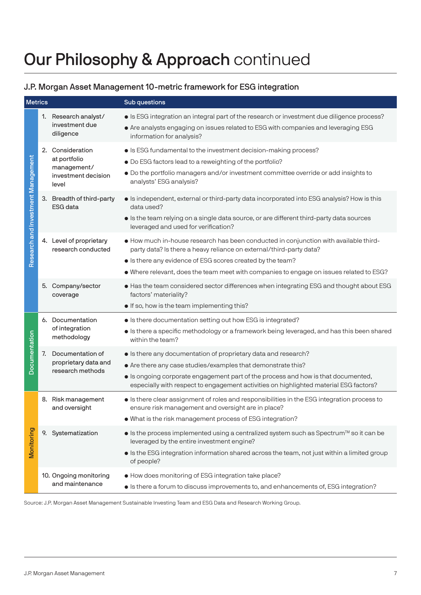### J.P. Morgan Asset Management 10-metric framework for ESG integration

| <b>Metrics</b>                     |                                                                                                                                                                                    |                                                                                 | Sub questions                                                                                                                                                                                                                                                                                                |
|------------------------------------|------------------------------------------------------------------------------------------------------------------------------------------------------------------------------------|---------------------------------------------------------------------------------|--------------------------------------------------------------------------------------------------------------------------------------------------------------------------------------------------------------------------------------------------------------------------------------------------------------|
| Research and Investment Management |                                                                                                                                                                                    | 1. Research analyst/<br>investment due<br>diligence                             | • Is ESG integration an integral part of the research or investment due diligence process?<br>• Are analysts engaging on issues related to ESG with companies and leveraging ESG<br>information for analysis?                                                                                                |
|                                    |                                                                                                                                                                                    | 2. Consideration<br>at portfolio<br>management/<br>investment decision<br>level | • Is ESG fundamental to the investment decision-making process?<br>. Do ESG factors lead to a reweighting of the portfolio?<br>· Do the portfolio managers and/or investment committee override or add insights to<br>analysts' ESG analysis?                                                                |
|                                    |                                                                                                                                                                                    | 3. Breadth of third-party<br><b>ESG</b> data                                    | • Is independent, external or third-party data incorporated into ESG analysis? How is this<br>data used?<br>Is the team relying on a single data source, or are different third-party data sources<br>leveraged and used for verification?                                                                   |
|                                    | 4. Level of proprietary<br>research conducted<br>party data? Is there a heavy reliance on external/third-party data?<br>• Is there any evidence of ESG scores created by the team? |                                                                                 | • How much in-house research has been conducted in conjunction with available third-<br>• Where relevant, does the team meet with companies to engage on issues related to ESG?                                                                                                                              |
|                                    |                                                                                                                                                                                    | 5. Company/sector<br>coverage                                                   | • Has the team considered sector differences when integrating ESG and thought about ESG<br>factors' materiality?<br>. If so, how is the team implementing this?                                                                                                                                              |
| Documentation                      |                                                                                                                                                                                    | 6. Documentation<br>of integration<br>methodology                               | • Is there documentation setting out how ESG is integrated?<br>Is there a specific methodology or a framework being leveraged, and has this been shared<br>within the team?                                                                                                                                  |
|                                    | 7.                                                                                                                                                                                 | Documentation of<br>proprietary data and<br>research methods                    | • Is there any documentation of proprietary data and research?<br>• Are there any case studies/examples that demonstrate this?<br>• Is ongoing corporate engagement part of the process and how is that documented,<br>especially with respect to engagement activities on highlighted material ESG factors? |
| Monitoring                         |                                                                                                                                                                                    | 8. Risk management<br>and oversight                                             | Is there clear assignment of roles and responsibilities in the ESG integration process to<br>ensure risk management and oversight are in place?<br>. What is the risk management process of ESG integration?                                                                                                 |
|                                    |                                                                                                                                                                                    | 9. Systematization                                                              | • Is the process implemented using a centralized system such as Spectrum™ so it can be<br>leveraged by the entire investment engine?<br>Is the ESG integration information shared across the team, not just within a limited group<br>of people?                                                             |
|                                    |                                                                                                                                                                                    | 10. Ongoing monitoring<br>and maintenance                                       | • How does monitoring of ESG integration take place?<br>• Is there a forum to discuss improvements to, and enhancements of, ESG integration?                                                                                                                                                                 |

Source: J.P. Morgan Asset Management Sustainable Investing Team and ESG Data and Research Working Group.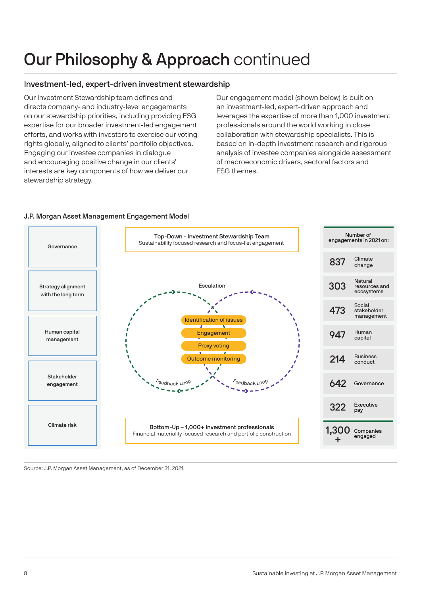### Investment-led, expert-driven investment stewardship

Our Investment Stewardship team defines and directs company- and industry-level engagements on our stewardship priorities, including providing ESG expertise for our broader investment-led engagement efforts, and works with investors to exercise our voting rights globally, aligned to clients' portfolio objectives. Engaging our investee companies in dialogue and encouraging positive change in our clients' interests are key components of how we deliver our stewardship strategy.

Our engagement model (shown below) is built on an investment-led, expert-driven approach and leverages the expertise of more than 1,000 investment professionals around the world working in close collaboration with stewardship specialists. This is based on in-depth investment research and rigorous analysis of investee companies alongside assessment of macroeconomic drivers, sectoral factors and ESG themes.

### J.P. Morgan Asset Management Engagement Model



Source: J.P. Morgan Asset Management, as of December 31, 2021.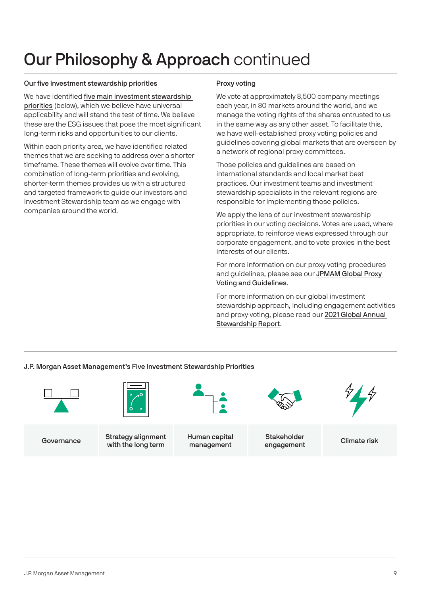#### Our five investment stewardship priorities

We have identified [five main investment stewardship](https://am.jpmorgan.com/content/dam/jpm-am-aem/global/en/institutional/communications/lux-communication/jpmorgan-promoting-sustainability-amoc.pdf)  [priorities](https://am.jpmorgan.com/content/dam/jpm-am-aem/global/en/institutional/communications/lux-communication/jpmorgan-promoting-sustainability-amoc.pdf) (below), which we believe have universal applicability and will stand the test of time. We believe these are the ESG issues that pose the most significant long-term risks and opportunities to our clients.

Within each priority area, we have identified related themes that we are seeking to address over a shorter timeframe. These themes will evolve over time. This combination of long-term priorities and evolving, shorter-term themes provides us with a structured and targeted framework to guide our investors and Investment Stewardship team as we engage with companies around the world.

#### Proxy voting

We vote at approximately 8,500 company meetings each year, in 80 markets around the world, and we manage the voting rights of the shares entrusted to us in the same way as any other asset. To facilitate this, we have well-established proxy voting policies and guidelines covering global markets that are overseen by a network of regional proxy committees.

Those policies and guidelines are based on international standards and local market best practices. Our investment teams and investment stewardship specialists in the relevant regions are responsible for implementing those policies.

We apply the lens of our investment stewardship priorities in our voting decisions. Votes are used, where appropriate, to reinforce views expressed through our corporate engagement, and to vote proxies in the best interests of our clients.

For more information on our proxy voting procedures and guidelines, please see our [JPMAM Global Proxy](https://am.jpmorgan.com/content/dam/jpm-am-aem/global/en/institutional/communications/lux-communication/corporate-governance-principles-and-voting-guidelines.pdf)  [Voting and Guidelines](https://am.jpmorgan.com/content/dam/jpm-am-aem/global/en/institutional/communications/lux-communication/corporate-governance-principles-and-voting-guidelines.pdf).

For more information on our global investment stewardship approach, including engagement activities and proxy voting, please read our [2021 Global Annual](https://am.jpmorgan.com/content/dam/jpm-am-aem/global/en/sustainable-investing/investment-stewardship-report.pdf)  [Stewardship Report](https://am.jpmorgan.com/content/dam/jpm-am-aem/global/en/sustainable-investing/investment-stewardship-report.pdf).

J.P. Morgan Asset Management's Five Investment Stewardship Priorities

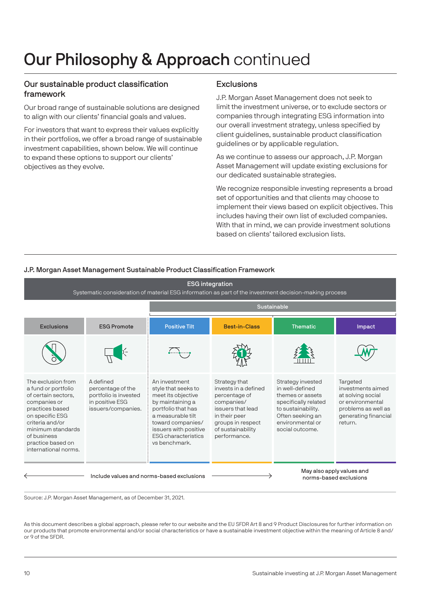### Our sustainable product classification framework

Our broad range of sustainable solutions are designed to align with our clients' financial goals and values.

For investors that want to express their values explicitly in their portfolios, we offer a broad range of sustainable investment capabilities, shown below. We will continue to expand these options to support our clients' objectives as they evolve.

#### **Exclusions**

J.P. Morgan Asset Management does not seek to limit the investment universe, or to exclude sectors or companies through integrating ESG information into our overall investment strategy, unless specified by client guidelines, sustainable product classification guidelines or by applicable regulation.

As we continue to assess our approach, J.P. Morgan Asset Management will update existing exclusions for our dedicated sustainable strategies.

We recognize responsible investing represents a broad set of opportunities and that clients may choose to implement their views based on explicit objectives. This includes having their own list of excluded companies. With that in mind, we can provide investment solutions based on clients' tailored exclusion lists.

#### J.P. Morgan Asset Management Sustainable Product Classification Framework



Source: J.P. Morgan Asset Management, as of December 31, 2021.

As this document describes a global approach, please refer to our website and the EU SFDR Art 8 and 9 Product Disclosures for further information on our products that promote environmental and/or social characteristics or have a sustainable investment objective within the meaning of Article 8 and/ or 9 of the SFDR.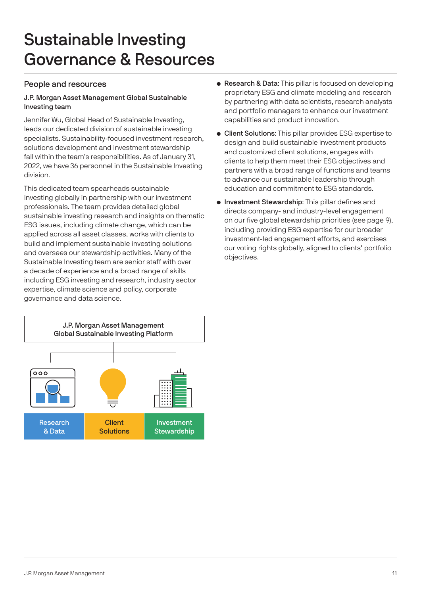# Sustainable Investing Governance & Resources

### People and resources

#### J.P. Morgan Asset Management Global Sustainable Investing team

Jennifer Wu, Global Head of Sustainable Investing, leads our dedicated division of sustainable investing specialists. Sustainability-focused investment research, solutions development and investment stewardship fall within the team's responsibilities. As of January 31, 2022, we have 36 personnel in the Sustainable Investing division.

This dedicated team spearheads sustainable investing globally in partnership with our investment professionals. The team provides detailed global sustainable investing research and insights on thematic ESG issues, including climate change, which can be applied across all asset classes, works with clients to build and implement sustainable investing solutions and oversees our stewardship activities. Many of the Sustainable Investing team are senior staff with over a decade of experience and a broad range of skills including ESG investing and research, industry sector expertise, climate science and policy, corporate governance and data science.



- Research & Data: This pillar is focused on developing proprietary ESG and climate modeling and research by partnering with data scientists, research analysts and portfolio managers to enhance our investment capabilities and product innovation.
- Client Solutions: This pillar provides ESG expertise to design and build sustainable investment products and customized client solutions, engages with clients to help them meet their ESG objectives and partners with a broad range of functions and teams to advance our sustainable leadership through education and commitment to ESG standards.
- Investment Stewardship: This pillar defines and directs company- and industry-level engagement on our five global stewardship priorities (see page 9), including providing ESG expertise for our broader investment-led engagement efforts, and exercises our voting rights globally, aligned to clients' portfolio objectives.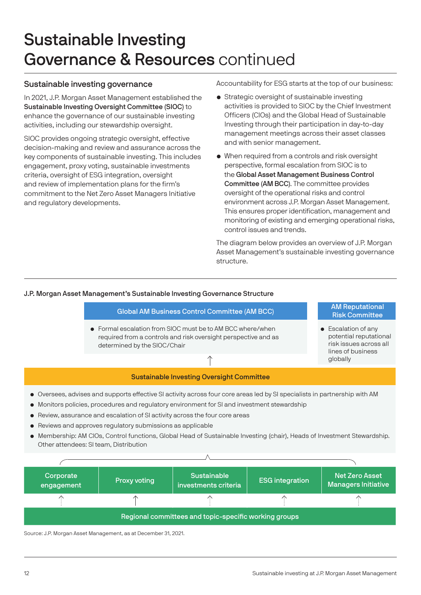# Sustainable Investing Governance & Resources continued

### Sustainable investing governance

In 2021, J.P. Morgan Asset Management established the Sustainable Investing Oversight Committee (SIOC) to enhance the governance of our sustainable investing activities, including our stewardship oversight.

SIOC provides ongoing strategic oversight, effective decision-making and review and assurance across the key components of sustainable investing. This includes engagement, proxy voting, sustainable investments criteria, oversight of ESG integration, oversight and review of implementation plans for the firm's commitment to the Net Zero Asset Managers Initiative and regulatory developments.

Accountability for ESG starts at the top of our business:

- Strategic oversight of sustainable investing activities is provided to SIOC by the Chief Investment Officers (CIOs) and the Global Head of Sustainable Investing through their participation in day-to-day management meetings across their asset classes and with senior management.
- When required from a controls and risk oversight perspective, formal escalation from SIOC is to the Global Asset Management Business Control Committee (AM BCC). The committee provides oversight of the operational risks and control environment across J.P. Morgan Asset Management. This ensures proper identification, management and monitoring of existing and emerging operational risks, control issues and trends.

The diagram below provides an overview of J.P. Morgan Asset Management's sustainable investing governance structure.

#### J.P. Morgan Asset Management's Sustainable Investing Governance Structure



Source: J.P. Morgan Asset Management, as at December 31, 2021.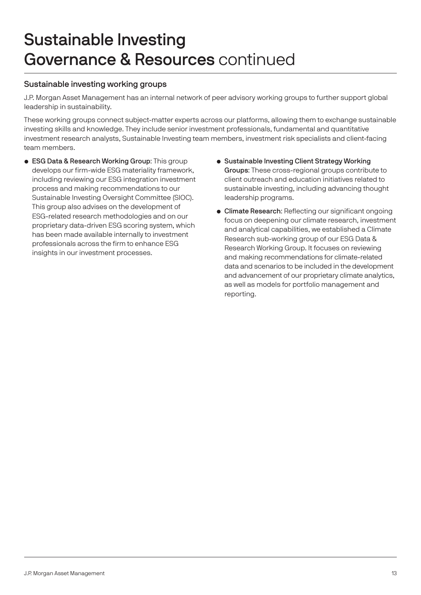# Sustainable Investing Governance & Resources continued

### Sustainable investing working groups

J.P. Morgan Asset Management has an internal network of peer advisory working groups to further support global leadership in sustainability.

These working groups connect subject-matter experts across our platforms, allowing them to exchange sustainable investing skills and knowledge. They include senior investment professionals, fundamental and quantitative investment research analysts, Sustainable Investing team members, investment risk specialists and client-facing team members.

- ESG Data & Research Working Group: This group develops our firm-wide ESG materiality framework, including reviewing our ESG integration investment process and making recommendations to our Sustainable Investing Oversight Committee (SIOC). This group also advises on the development of ESG-related research methodologies and on our proprietary data-driven ESG scoring system, which has been made available internally to investment professionals across the firm to enhance ESG insights in our investment processes.
- Sustainable Investing Client Strategy Working Groups: These cross-regional groups contribute to client outreach and education initiatives related to sustainable investing, including advancing thought leadership programs.
- Climate Research: Reflecting our significant ongoing focus on deepening our climate research, investment and analytical capabilities, we established a Climate Research sub-working group of our ESG Data & Research Working Group. It focuses on reviewing and making recommendations for climate-related data and scenarios to be included in the development and advancement of our proprietary climate analytics, as well as models for portfolio management and reporting.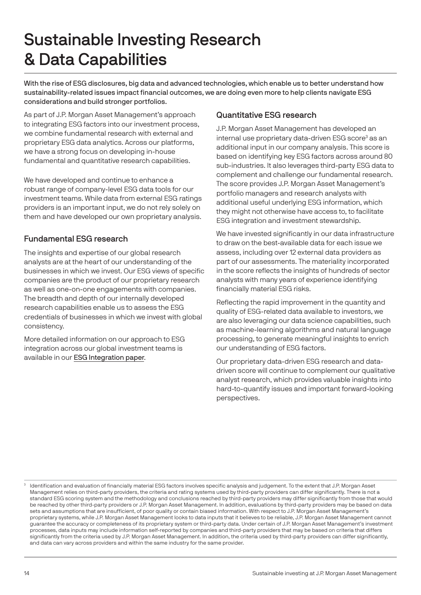# Sustainable Investing Research & Data Capabilities

With the rise of ESG disclosures, big data and advanced technologies, which enable us to better understand how sustainability-related issues impact financial outcomes, we are doing even more to help clients navigate ESG considerations and build stronger portfolios.

As part of J.P. Morgan Asset Management's approach to integrating ESG factors into our investment process, we combine fundamental research with external and proprietary ESG data analytics. Across our platforms, we have a strong focus on developing in-house fundamental and quantitative research capabilities.

We have developed and continue to enhance a robust range of company-level ESG data tools for our investment teams. While data from external ESG ratings providers is an important input, we do not rely solely on them and have developed our own proprietary analysis.

# Fundamental ESG research

The insights and expertise of our global research analysts are at the heart of our understanding of the businesses in which we invest. Our ESG views of specific companies are the product of our proprietary research as well as one-on-one engagements with companies. The breadth and depth of our internally developed research capabilities enable us to assess the ESG credentials of businesses in which we invest with global consistency.

More detailed information on our approach to ESG integration across our global investment teams is available in our [ESG Integration paper](https://am.jpmorgan.com/content/dam/jpm-am-aem/global/en/sustainable-investing/esg-integration-approach.pdf).

### Quantitative ESG research

J.P. Morgan Asset Management has developed an internal use proprietary data-driven ESG score<sup>3</sup> as an additional input in our company analysis. This score is based on identifying key ESG factors across around 80 sub-industries. It also leverages third-party ESG data to complement and challenge our fundamental research. The score provides J.P. Morgan Asset Management's portfolio managers and research analysts with additional useful underlying ESG information, which they might not otherwise have access to, to facilitate ESG integration and investment stewardship.

We have invested significantly in our data infrastructure to draw on the best-available data for each issue we assess, including over 12 external data providers as part of our assessments. The materiality incorporated in the score reflects the insights of hundreds of sector analysts with many years of experience identifying financially material ESG risks.

Reflecting the rapid improvement in the quantity and quality of ESG-related data available to investors, we are also leveraging our data science capabilities, such as machine-learning algorithms and natural language processing, to generate meaningful insights to enrich our understanding of ESG factors.

Our proprietary data-driven ESG research and datadriven score will continue to complement our qualitative analyst research, which provides valuable insights into hard-to-quantify issues and important forward-looking perspectives.

<sup>&</sup>lt;sup>3</sup> Identification and evaluation of financially material ESG factors involves specific analysis and judgement. To the extent that J.P. Morgan Asset Management relies on third-party providers, the criteria and rating systems used by third-party providers can differ significantly. There is not a standard ESG scoring system and the methodology and conclusions reached by third-party providers may differ significantly from those that would be reached by other third-party providers or J.P. Morgan Asset Management. In addition, evaluations by third-party providers may be based on data sets and assumptions that are insufficient, of poor quality or contain biased information. With respect to J.P. Morgan Asset Management's proprietary systems, while J.P. Morgan Asset Management looks to data inputs that it believes to be reliable, J.P. Morgan Asset Management cannot guarantee the accuracy or completeness of its proprietary system or third-party data. Under certain of J.P. Morgan Asset Management's investment processes, data inputs may include information self-reported by companies and third-party providers that may be based on criteria that differs significantly from the criteria used by J.P. Morgan Asset Management. In addition, the criteria used by third-party providers can differ significantly, and data can vary across providers and within the same industry for the same provider.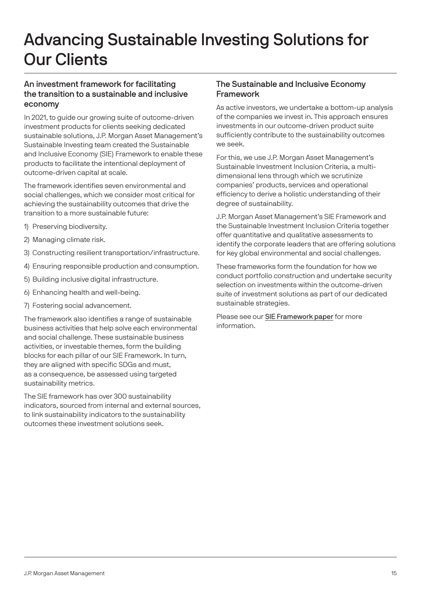# Advancing Sustainable Investing Solutions for Our Clients

### An investment framework for facilitating the transition to a sustainable and inclusive economy

In 2021, to guide our growing suite of outcome-driven investment products for clients seeking dedicated sustainable solutions, J.P. Morgan Asset Management's Sustainable Investing team created the Sustainable and Inclusive Economy (SIE) Framework to enable these products to facilitate the intentional deployment of outcome-driven capital at scale.

The framework identifies seven environmental and social challenges, which we consider most critical for achieving the sustainability outcomes that drive the transition to a more sustainable future:

- 1) Preserving biodiversity.
- 2) Managing climate risk.
- 3) Constructing resilient transportation/infrastructure.
- 4) Ensuring responsible production and consumption.
- 5) Building inclusive digital infrastructure.
- 6) Enhancing health and well-being.
- 7) Fostering social advancement.

The framework also identifies a range of sustainable business activities that help solve each environmental and social challenge. These sustainable business activities, or investable themes, form the building blocks for each pillar of our SIE Framework. In turn, they are aligned with specific SDGs and must, as a consequence, be assessed using targeted sustainability metrics.

The SIE framework has over 300 sustainability indicators, sourced from internal and external sources, to link sustainability indicators to the sustainability outcomes these investment solutions seek.

### The Sustainable and Inclusive Economy Framework

As active investors, we undertake a bottom-up analysis of the companies we invest in. This approach ensures investments in our outcome-driven product suite sufficiently contribute to the sustainability outcomes we seek.

For this, we use J.P. Morgan Asset Management's Sustainable Investment Inclusion Criteria, a multidimensional lens through which we scrutinize companies' products, services and operational efficiency to derive a holistic understanding of their degree of sustainability.

J.P. Morgan Asset Management's SIE Framework and the Sustainable Investment Inclusion Criteria together offer quantitative and qualitative assessments to identify the corporate leaders that are offering solutions for key global environmental and social challenges.

These frameworks form the foundation for how we conduct portfolio construction and undertake security selection on investments within the outcome-driven suite of investment solutions as part of our dedicated sustainable strategies.

Please see our [SIE Framework paper](https://am.jpmorgan.com/content/dam/jpm-am-aem/global/en/sustainable-investing/sustainable-inclusive-economy-framework.pdf) for more information.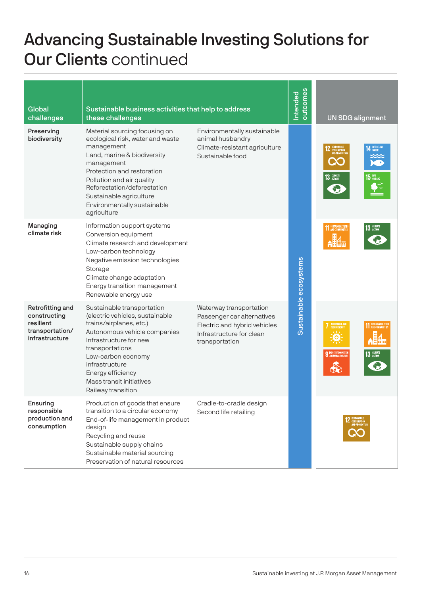# Advancing Sustainable Investing Solutions for Our Clients continued

| Global<br>challenges                                                               | Sustainable business activities that help to address<br>these challenges                                                                                                                                                                                                                        |                                                                                                                                     | outcomes<br>Intended   | <b>UN SDG alignment</b>                                                      |
|------------------------------------------------------------------------------------|-------------------------------------------------------------------------------------------------------------------------------------------------------------------------------------------------------------------------------------------------------------------------------------------------|-------------------------------------------------------------------------------------------------------------------------------------|------------------------|------------------------------------------------------------------------------|
| Preserving<br>biodiversity                                                         | Material sourcing focusing on<br>ecological risk, water and waste<br>management<br>Land, marine & biodiversity<br>management<br>Protection and restoration<br>Pollution and air quality<br>Reforestation/deforestation<br>Sustainable agriculture<br>Environmentally sustainable<br>agriculture | Environmentally sustainable<br>animal husbandry<br>Climate-resistant agriculture<br>Sustainable food                                |                        | 14 UFE BELOW<br>13 GLIMATE<br>$5UFE$ on land                                 |
| Managing<br>climate risk                                                           | Information support systems<br>Conversion equipment<br>Climate research and development<br>Low-carbon technology<br>Negative emission technologies<br>Storage<br>Climate change adaptation<br>Energy transition management<br>Renewable energy use                                              |                                                                                                                                     | Sustainable ecosystems | 11 SUSTAINABLE CITIES<br>13 GUMATE                                           |
| Retrofitting and<br>constructing<br>resilient<br>transportation/<br>infrastructure | Sustainable transportation<br>(electric vehicles, sustainable<br>trains/airplanes, etc.)<br>Autonomous vehicle companies<br>Infrastructure for new<br>transportations<br>Low-carbon economy<br>infrastructure<br>Energy efficiency<br>Mass transit initiatives<br>Railway transition            | Waterway transportation<br>Passenger car alternatives<br>Electric and hybrid vehicles<br>Infrastructure for clean<br>transportation |                        | AFFORDABLE AND<br>CLEAN ENERGY<br><b>9</b> INDUSTRY, INNOVATION<br>13 GUMATE |
| Ensuring<br>responsible<br>production and<br>consumption                           | Production of goods that ensure<br>transition to a circular economy<br>End-of-life management in product<br>design<br>Recycling and reuse<br>Sustainable supply chains<br>Sustainable material sourcing<br>Preservation of natural resources                                                    | Cradle-to-cradle design<br>Second life retailing                                                                                    |                        |                                                                              |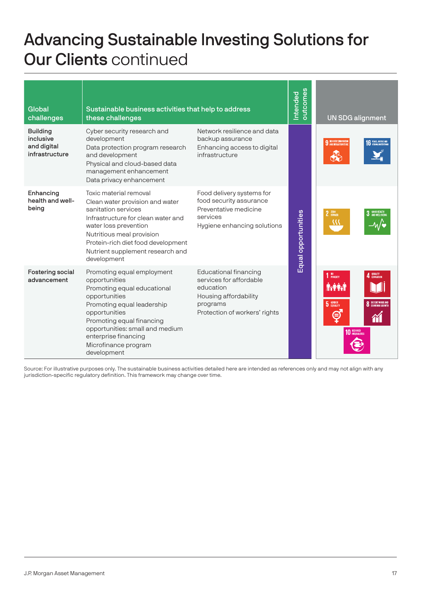# Advancing Sustainable Investing Solutions for Our Clients continued

| Global<br>challenges                                          | Sustainable business activities that help to address<br>these challenges                                                                                                                                                                                                  |                                                                                                                                            | outcomes<br>Intended | <b>UN SDG alignment</b>                                                                                    |
|---------------------------------------------------------------|---------------------------------------------------------------------------------------------------------------------------------------------------------------------------------------------------------------------------------------------------------------------------|--------------------------------------------------------------------------------------------------------------------------------------------|----------------------|------------------------------------------------------------------------------------------------------------|
| <b>Building</b><br>inclusive<br>and digital<br>infrastructure | Cyber security research and<br>development<br>Data protection program research<br>and development<br>Physical and cloud-based data<br>management enhancement<br>Data privacy enhancement                                                                                  | Network resilience and data<br>backup assurance<br>Enhancing access to digital<br>infrastructure                                           |                      | <b>9</b> INDUSTRY, INNOVATION<br><b>PEACE JUSTICE AN</b>                                                   |
| Enhancing<br>health and well-<br>being                        | Toxic material removal<br>Clean water provision and water<br>sanitation services<br>Infrastructure for clean water and<br>water loss prevention<br>Nutritious meal provision<br>Protein-rich diet food development<br>Nutrient supplement research and<br>development     | Food delivery systems for<br>food security assurance<br>Preventative medicine<br>services<br>Hygiene enhancing solutions                   | Equal opportunities  | 2 ZERO<br>3 GOOD HEALTH                                                                                    |
| Fostering social<br>advancement                               | Promoting equal employment<br>opportunities<br>Promoting equal educational<br>opportunities<br>Promoting equal leadership<br>opportunities<br>Promoting equal financing<br>opportunities: small and medium<br>enterprise financing<br>Microfinance program<br>development | <b>Educational financing</b><br>services for affordable<br>education<br>Housing affordability<br>programs<br>Protection of workers' rights |                      | NO<br>Poverty<br>4 QUALITY<br><b>Axient</b><br>5 GENDER<br><b>DECENT WORK AN</b><br>8<br><b>10 REDUCED</b> |

Source: For illustrative purposes only. The sustainable business activities detailed here are intended as references only and may not align with any jurisdiction-specific regulatory definition. This framework may change over time.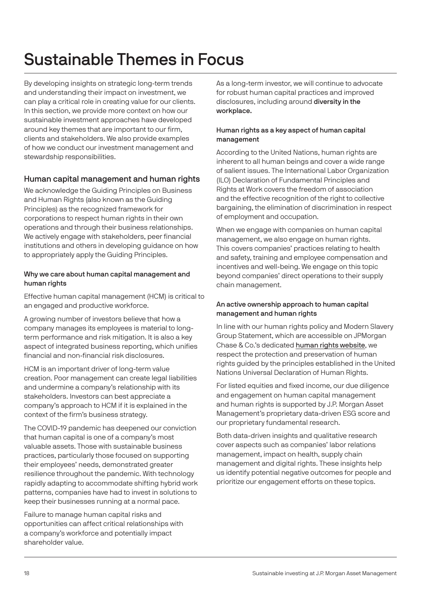# Sustainable Themes in Focus

By developing insights on strategic long-term trends and understanding their impact on investment, we can play a critical role in creating value for our clients. In this section, we provide more context on how our sustainable investment approaches have developed around key themes that are important to our firm, clients and stakeholders. We also provide examples of how we conduct our investment management and stewardship responsibilities.

# Human capital management and human rights

We acknowledge the Guiding Principles on Business and Human Rights (also known as the Guiding Principles) as the recognized framework for corporations to respect human rights in their own operations and through their business relationships. We actively engage with stakeholders, peer financial institutions and others in developing guidance on how to appropriately apply the Guiding Principles.

### Why we care about human capital management and human rights

Effective human capital management (HCM) is critical to an engaged and productive workforce.

A growing number of investors believe that how a company manages its employees is material to longterm performance and risk mitigation. It is also a key aspect of integrated business reporting, which unifies financial and non-financial risk disclosures.

HCM is an important driver of long-term value creation. Poor management can create legal liabilities and undermine a company's relationship with its stakeholders. Investors can best appreciate a company's approach to HCM if it is explained in the context of the firm's business strategy.

The COVID-19 pandemic has deepened our conviction that human capital is one of a company's most valuable assets. Those with sustainable business practices, particularly those focused on supporting their employees' needs, demonstrated greater resilience throughout the pandemic. With technology rapidly adapting to accommodate shifting hybrid work patterns, companies have had to invest in solutions to keep their businesses running at a normal pace.

Failure to manage human capital risks and opportunities can affect critical relationships with a company's workforce and potentially impact shareholder value.

As a long-term investor, we will continue to advocate for robust human capital practices and improved disclosures, including around diversity in the workplace.

### Human rights as a key aspect of human capital management

According to the United Nations, human rights are inherent to all human beings and cover a wide range of salient issues. The International Labor Organization (ILO) Declaration of Fundamental Principles and Rights at Work covers the freedom of association and the effective recognition of the right to collective bargaining, the elimination of discrimination in respect of employment and occupation.

When we engage with companies on human capital management, we also engage on human rights. This covers companies' practices relating to health and safety, training and employee compensation and incentives and well-being. We engage on this topic beyond companies' direct operations to their supply chain management.

#### An active ownership approach to human capital management and human rights

In line with our human rights policy and Modern Slavery Group Statement, which are accessible on JPMorgan Chase & Co.'s dedicated [human rights website](https://www.jpmorganchase.com/about/our-business/human-rights), we respect the protection and preservation of human rights guided by the principles established in the United Nations Universal Declaration of Human Rights.

For listed equities and fixed income, our due diligence and engagement on human capital management and human rights is supported by J.P. Morgan Asset Management's proprietary data-driven ESG score and our proprietary fundamental research.

Both data-driven insights and qualitative research cover aspects such as companies' labor relations management, impact on health, supply chain management and digital rights. These insights help us identify potential negative outcomes for people and prioritize our engagement efforts on these topics.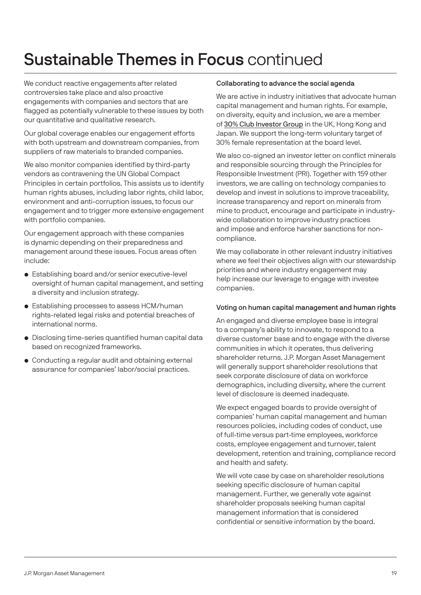# Sustainable Themes in Focus continued

We conduct reactive engagements after related controversies take place and also proactive engagements with companies and sectors that are flagged as potentially vulnerable to these issues by both our quantitative and qualitative research.

Our global coverage enables our engagement efforts with both upstream and downstream companies, from suppliers of raw materials to branded companies.

We also monitor companies identified by third-party vendors as contravening the UN Global Compact Principles in certain portfolios. This assists us to identify human rights abuses, including labor rights, child labor, environment and anti-corruption issues, to focus our engagement and to trigger more extensive engagement with portfolio companies.

Our engagement approach with these companies is dynamic depending on their preparedness and management around these issues. Focus areas often include:

- Establishing board and/or senior executive-level oversight of human capital management, and setting a diversity and inclusion strategy.
- Establishing processes to assess HCM/human rights-related legal risks and potential breaches of international norms.
- Disclosing time-series quantified human capital data based on recognized frameworks.
- Conducting a regular audit and obtaining external assurance for companies' labor/social practices.

#### Collaborating to advance the social agenda

We are active in industry initiatives that advocate human capital management and human rights. For example, on diversity, equity and inclusion, we are a member of [30% Club Investor Group](https://30percentclub.org) in the UK, Hong Kong and Japan. We support the long-term voluntary target of 30% female representation at the board level.

We also co-signed an investor letter on conflict minerals and responsible sourcing through the Principles for Responsible Investment (PRI). Together with 159 other investors, we are calling on technology companies to develop and invest in solutions to improve traceability, increase transparency and report on minerals from mine to product, encourage and participate in industrywide collaboration to improve industry practices and impose and enforce harsher sanctions for noncompliance.

We may collaborate in other relevant industry initiatives where we feel their objectives align with our stewardship priorities and where industry engagement may help increase our leverage to engage with investee companies.

#### Voting on human capital management and human rights

An engaged and diverse employee base is integral to a company's ability to innovate, to respond to a diverse customer base and to engage with the diverse communities in which it operates, thus delivering shareholder returns. J.P. Morgan Asset Management will generally support shareholder resolutions that seek corporate disclosure of data on workforce demographics, including diversity, where the current level of disclosure is deemed inadequate.

We expect engaged boards to provide oversight of companies' human capital management and human resources policies, including codes of conduct, use of full-time versus part-time employees, workforce costs, employee engagement and turnover, talent development, retention and training, compliance record and health and safety.

We will vote case by case on shareholder resolutions seeking specific disclosure of human capital management. Further, we generally vote against shareholder proposals seeking human capital management information that is considered confidential or sensitive information by the board.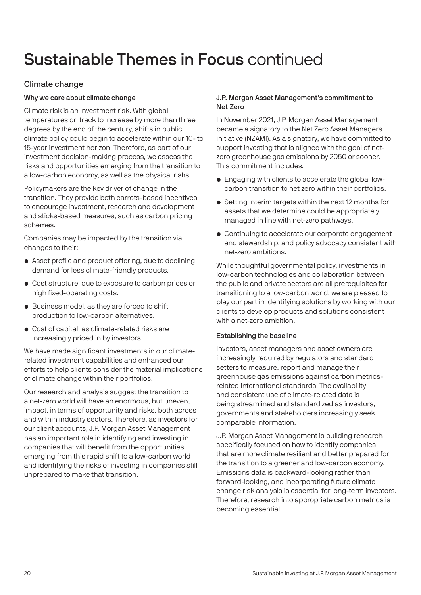### Climate change

### Why we care about climate change

Climate risk is an investment risk. With global temperatures on track to increase by more than three degrees by the end of the century, shifts in public climate policy could begin to accelerate within our 10- to 15-year investment horizon. Therefore, as part of our investment decision-making process, we assess the risks and opportunities emerging from the transition to a low-carbon economy, as well as the physical risks.

Policymakers are the key driver of change in the transition. They provide both carrots-based incentives to encourage investment, research and development and sticks-based measures, such as carbon pricing schemes.

Companies may be impacted by the transition via changes to their:

- Asset profile and product offering, due to declining demand for less climate-friendly products.
- Cost structure, due to exposure to carbon prices or high fixed-operating costs.
- Business model, as they are forced to shift production to low-carbon alternatives.
- Cost of capital, as climate-related risks are increasingly priced in by investors.

We have made significant investments in our climaterelated investment capabilities and enhanced our efforts to help clients consider the material implications of climate change within their portfolios.

Our research and analysis suggest the transition to a net-zero world will have an enormous, but uneven, impact, in terms of opportunity and risks, both across and within industry sectors. Therefore, as investors for our client accounts, J.P. Morgan Asset Management has an important role in identifying and investing in companies that will benefit from the opportunities emerging from this rapid shift to a low-carbon world and identifying the risks of investing in companies still unprepared to make that transition.

#### J.P. Morgan Asset Management's commitment to Net Zero

In November 2021, J.P. Morgan Asset Management became a signatory to the Net Zero Asset Managers initiative (NZAMI). As a signatory, we have committed to support investing that is aligned with the goal of netzero greenhouse gas emissions by 2050 or sooner. This commitment includes:

- Engaging with clients to accelerate the global lowcarbon transition to net zero within their portfolios.
- Setting interim targets within the next 12 months for assets that we determine could be appropriately managed in line with net-zero pathways.
- Continuing to accelerate our corporate engagement and stewardship, and policy advocacy consistent with net-zero ambitions.

While thoughtful governmental policy, investments in low-carbon technologies and collaboration between the public and private sectors are all prerequisites for transitioning to a low-carbon world, we are pleased to play our part in identifying solutions by working with our clients to develop products and solutions consistent with a net-zero ambition.

#### Establishing the baseline

Investors, asset managers and asset owners are increasingly required by regulators and standard setters to measure, report and manage their greenhouse gas emissions against carbon metricsrelated international standards. The availability and consistent use of climate-related data is being streamlined and standardized as investors, governments and stakeholders increasingly seek comparable information.

J.P. Morgan Asset Management is building research specifically focused on how to identify companies that are more climate resilient and better prepared for the transition to a greener and low-carbon economy. Emissions data is backward-looking rather than forward-looking, and incorporating future climate change risk analysis is essential for long-term investors. Therefore, research into appropriate carbon metrics is becoming essential.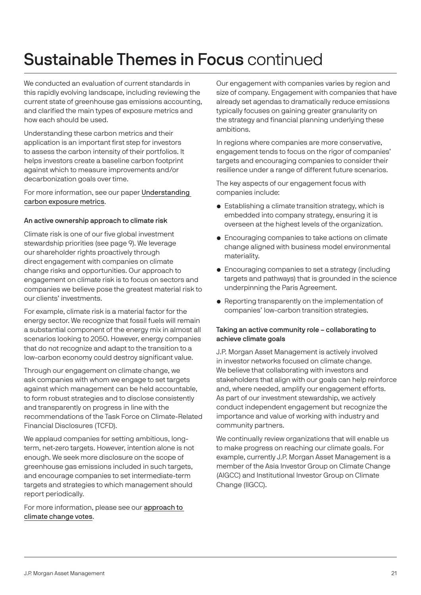# Sustainable Themes in Focus continued

We conducted an evaluation of current standards in this rapidly evolving landscape, including reviewing the current state of greenhouse gas emissions accounting, and clarified the main types of exposure metrics and how each should be used.

Understanding these carbon metrics and their application is an important first step for investors to assess the carbon intensity of their portfolios. It helps investors create a baseline carbon footprint against which to measure improvements and/or decarbonization goals over time.

For more information, see our paper [Understanding](https://am.jpmorgan.com/content/dam/jpm-am-aem/global/en/insights/portfolio-insights/carbon-metrics-guide.pdf)  [carbon exposure metrics](https://am.jpmorgan.com/content/dam/jpm-am-aem/global/en/insights/portfolio-insights/carbon-metrics-guide.pdf).

#### An active ownership approach to climate risk

Climate risk is one of our five global investment stewardship priorities (see page 9). We leverage our shareholder rights proactively through direct engagement with companies on climate change risks and opportunities. Our approach to engagement on climate risk is to focus on sectors and companies we believe pose the greatest material risk to our clients' investments.

For example, climate risk is a material factor for the energy sector. We recognize that fossil fuels will remain a substantial component of the energy mix in almost all scenarios looking to 2050. However, energy companies that do not recognize and adapt to the transition to a low-carbon economy could destroy significant value.

Through our engagement on climate change, we ask companies with whom we engage to set targets against which management can be held accountable, to form robust strategies and to disclose consistently and transparently on progress in line with the recommendations of the Task Force on Climate-Related Financial Disclosures (TCFD).

We applaud companies for setting ambitious, longterm, net-zero targets. However, intention alone is not enough. We seek more disclosure on the scope of greenhouse gas emissions included in such targets, and encourage companies to set intermediate-term targets and strategies to which management should report periodically.

For more information, please see our [approach to](https://am.jpmorgan.com/asset-management/institutional/investment-strategies/sustainable-investing/climate-change/climate-voting/)  [climate change votes](https://am.jpmorgan.com/asset-management/institutional/investment-strategies/sustainable-investing/climate-change/climate-voting/).

Our engagement with companies varies by region and size of company. Engagement with companies that have already set agendas to dramatically reduce emissions typically focuses on gaining greater granularity on the strategy and financial planning underlying these ambitions.

In regions where companies are more conservative, engagement tends to focus on the rigor of companies' targets and encouraging companies to consider their resilience under a range of different future scenarios.

The key aspects of our engagement focus with companies include:

- Establishing a climate transition strategy, which is embedded into company strategy, ensuring it is overseen at the highest levels of the organization.
- Encouraging companies to take actions on climate change aligned with business model environmental materiality.
- Encouraging companies to set a strategy (including targets and pathways) that is grounded in the science underpinning the Paris Agreement.
- Reporting transparently on the implementation of companies' low-carbon transition strategies.

#### Taking an active community role – collaborating to achieve climate goals

J.P. Morgan Asset Management is actively involved in investor networks focused on climate change. We believe that collaborating with investors and stakeholders that align with our goals can help reinforce and, where needed, amplify our engagement efforts. As part of our investment stewardship, we actively conduct independent engagement but recognize the importance and value of working with industry and community partners.

We continually review organizations that will enable us to make progress on reaching our climate goals. For example, currently J.P. Morgan Asset Management is a member of the Asia Investor Group on Climate Change (AIGCC) and Institutional Investor Group on Climate Change (IIGCC).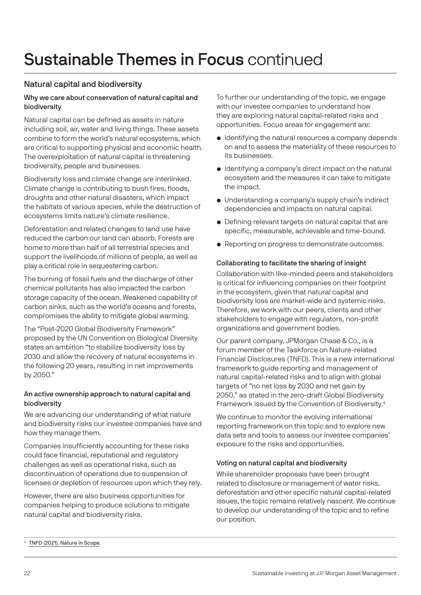# Sustainable Themes in Focus continued

### Natural capital and biodiversity

#### Why we care about conservation of natural capital and biodiversity

Natural capital can be defined as assets in nature including soil, air, water and living things. These assets combine to form the world's natural ecosystems, which are critical to supporting physical and economic health. The overexploitation of natural capital is threatening biodiversity, people and businesses.

Biodiversity loss and climate change are interlinked. Climate change is contributing to bush fires, floods, droughts and other natural disasters, which impact the habitats of various species, while the destruction of ecosystems limits nature's climate resilience.

Deforestation and related changes to land use have reduced the carbon our land can absorb. Forests are home to more than half of all terrestrial species and support the livelihoods of millions of people, as well as play a critical role in sequestering carbon.

The burning of fossil fuels and the discharge of other chemical pollutants has also impacted the carbon storage capacity of the ocean. Weakened capability of carbon sinks, such as the world's oceans and forests, compromises the ability to mitigate global warming.

The "Post-2020 Global Biodiversity Framework" proposed by the UN Convention on Biological Diversity states an ambition "to stabilize biodiversity loss by 2030 and allow the recovery of natural ecosystems in the following 20 years, resulting in net improvements by 2050."

#### An active ownership approach to natural capital and biodiversity

We are advancing our understanding of what nature and biodiversity risks our investee companies have and how they manage them.

Companies insufficiently accounting for these risks could face financial, reputational and regulatory challenges as well as operational risks, such as discontinuation of operations due to suspension of licenses or depletion of resources upon which they rely.

However, there are also business opportunities for companies helping to produce solutions to mitigate natural capital and biodiversity risks.

To further our understanding of the topic, we engage with our investee companies to understand how they are exploring natural capital-related risks and opportunities. Focus areas for engagement are:

- Identifying the natural resources a company depends on and to assess the materiality of these resources to its businesses.
- Identifying a company's direct impact on the natural ecosystem and the measures it can take to mitigate the impact.
- Understanding a company's supply chain's indirect dependencies and impacts on natural capital.
- Defining relevant targets on natural capital that are specific, measurable, achievable and time-bound.
- Reporting on progress to demonstrate outcomes.

#### Collaborating to facilitate the sharing of insight

Collaboration with like-minded peers and stakeholders is critical for influencing companies on their footprint in the ecosystem, given that natural capital and biodiversity loss are market-wide and systemic risks. Therefore, we work with our peers, clients and other stakeholders to engage with regulators, non-profit organizations and government bodies.

Our parent company, JPMorgan Chase & Co., is a forum member of the Taskforce on Nature-related Financial Disclosures (TNFD). This is a new international framework to guide reporting and management of natural capital-related risks and to align with global targets of "no net loss by 2030 and net gain by 2050," as stated in the zero-draft Global Biodiversity Framework issued by the Convention of Biodiversity.4

We continue to monitor the evolving international reporting framework on this topic and to explore new data sets and tools to assess our investee companies' exposure to the risks and opportunities.

#### Voting on natural capital and biodiversity

While shareholder proposals have been brought related to disclosure or management of water risks, deforestation and other specific natural capital-related issues, the topic remains relatively nascent. We continue to develop our understanding of the topic and to refine our position.

[TNFD \(2021\). Nature in Scope](https://tnfd.global/wp-content/uploads/2021/07/TNFD-Nature-in-Scope-2.pdf).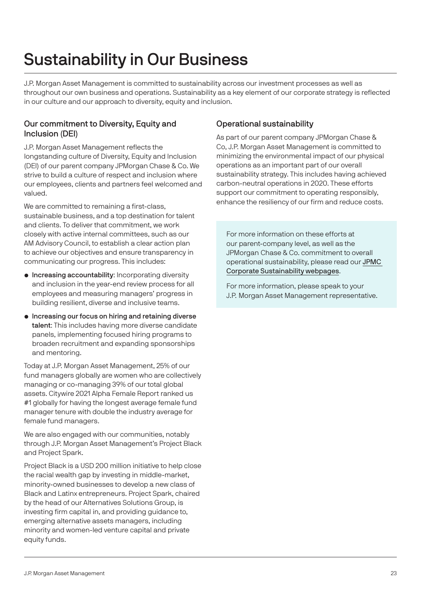# Sustainability in Our Business

J.P. Morgan Asset Management is committed to sustainability across our investment processes as well as throughout our own business and operations. Sustainability as a key element of our corporate strategy is reflected in our culture and our approach to diversity, equity and inclusion.

### Our commitment to Diversity, Equity and Inclusion (DEI)

J.P. Morgan Asset Management reflects the longstanding culture of Diversity, Equity and Inclusion (DEI) of our parent company JPMorgan Chase & Co. We strive to build a culture of respect and inclusion where our employees, clients and partners feel welcomed and valued.

We are committed to remaining a first-class. sustainable business, and a top destination for talent and clients. To deliver that commitment, we work closely with active internal committees, such as our AM Advisory Council, to establish a clear action plan to achieve our objectives and ensure transparency in communicating our progress. This includes:

- Increasing accountability: Incorporating diversity and inclusion in the year-end review process for all employees and measuring managers' progress in building resilient, diverse and inclusive teams.
- Increasing our focus on hiring and retaining diverse talent: This includes having more diverse candidate panels, implementing focused hiring programs to broaden recruitment and expanding sponsorships and mentoring.

Today at J.P. Morgan Asset Management, 25% of our fund managers globally are women who are collectively managing or co-managing 39% of our total global assets. Citywire 2021 Alpha Female Report ranked us #1 globally for having the longest average female fund manager tenure with double the industry average for female fund managers.

We are also engaged with our communities, notably through J.P. Morgan Asset Management's Project Black and Project Spark.

Project Black is a USD 200 million initiative to help close the racial wealth gap by investing in middle-market, minority-owned businesses to develop a new class of Black and Latinx entrepreneurs. Project Spark, chaired by the head of our Alternatives Solutions Group, is investing firm capital in, and providing guidance to, emerging alternative assets managers, including minority and women-led venture capital and private equity funds.

### Operational sustainability

As part of our parent company JPMorgan Chase & Co, J.P. Morgan Asset Management is committed to minimizing the environmental impact of our physical operations as an important part of our overall sustainability strategy. This includes having achieved carbon-neutral operations in 2020. These efforts support our commitment to operating responsibly, enhance the resiliency of our firm and reduce costs.

For more information on these efforts at our parent-company level, as well as the JPMorgan Chase & Co. commitment to overall operational sustainability, please read our [JPMC](https://www.jpmorganchase.com/impact/sustainability)  [Corporate Sustainability webpages](https://www.jpmorganchase.com/impact/sustainability).

For more information, please speak to your J.P. Morgan Asset Management representative.